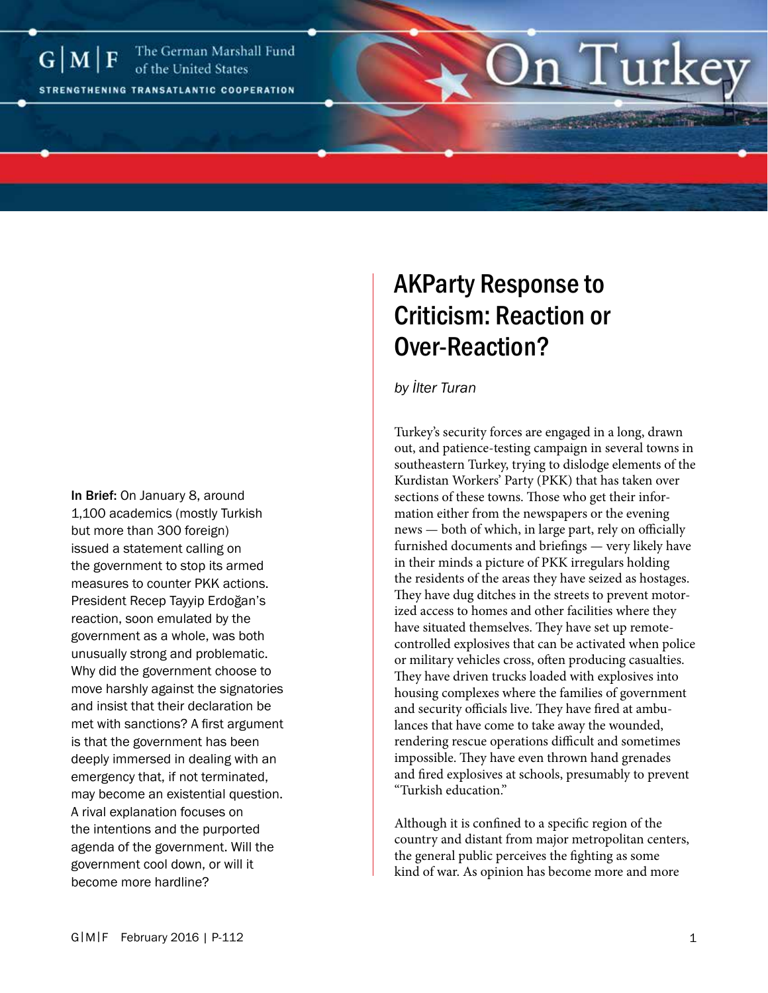

# In Brief: On January 8, around 1,100 academics (mostly Turkish but more than 300 foreign) issued a statement calling on the government to stop its armed measures to counter PKK actions. President Recep Tayyip Erdoğan's reaction, soon emulated by the government as a whole, was both unusually strong and problematic. Why did the government choose to move harshly against the signatories and insist that their declaration be met with sanctions? A first argument is that the government has been deeply immersed in dealing with an emergency that, if not terminated, may become an existential question. A rival explanation focuses on the intentions and the purported agenda of the government. Will the government cool down, or will it become more hardline?

# AKParty Response to Criticism: Reaction or Over-Reaction?

*by İlter Turan*

Turkey's security forces are engaged in a long, drawn out, and patience-testing campaign in several towns in southeastern Turkey, trying to dislodge elements of the Kurdistan Workers' Party (PKK) that has taken over sections of these towns. Those who get their information either from the newspapers or the evening news — both of which, in large part, rely on officially furnished documents and briefings — very likely have in their minds a picture of PKK irregulars holding the residents of the areas they have seized as hostages. They have dug ditches in the streets to prevent motorized access to homes and other facilities where they have situated themselves. They have set up remotecontrolled explosives that can be activated when police or military vehicles cross, often producing casualties. They have driven trucks loaded with explosives into housing complexes where the families of government and security officials live. They have fired at ambulances that have come to take away the wounded, rendering rescue operations difficult and sometimes impossible. They have even thrown hand grenades and fired explosives at schools, presumably to prevent "Turkish education."

Although it is confined to a specific region of the country and distant from major metropolitan centers, the general public perceives the fighting as some kind of war. As opinion has become more and more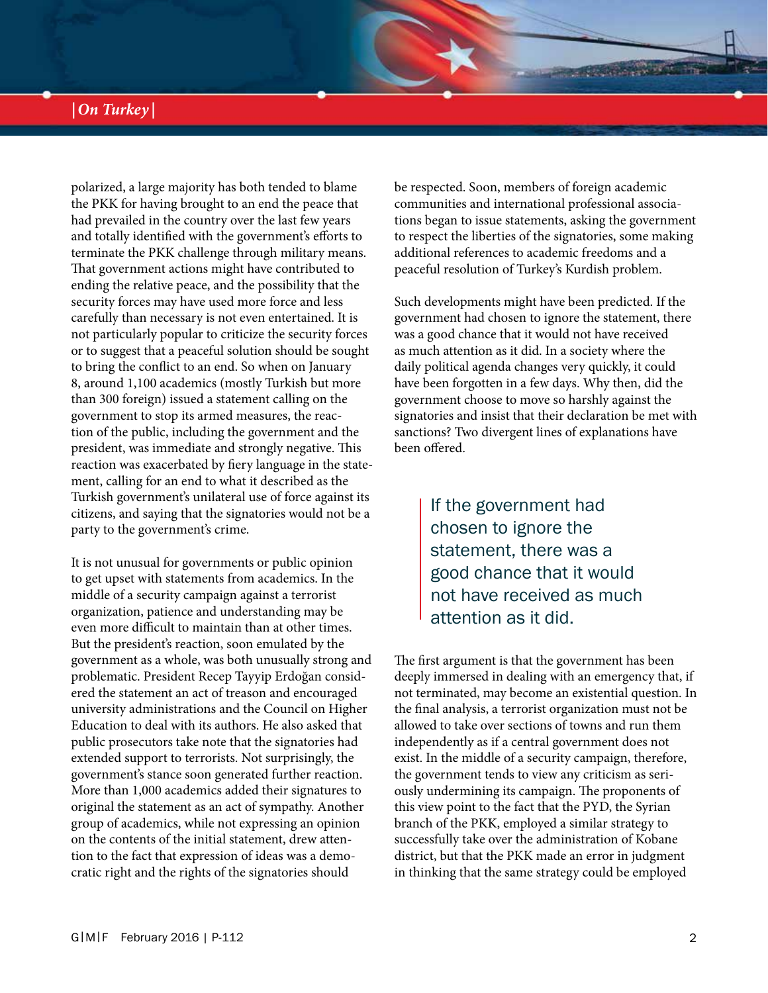# *|On Turkey |*

polarized, a large majority has both tended to blame the PKK for having brought to an end the peace that had prevailed in the country over the last few years and totally identified with the government's efforts to terminate the PKK challenge through military means. That government actions might have contributed to ending the relative peace, and the possibility that the security forces may have used more force and less carefully than necessary is not even entertained. It is not particularly popular to criticize the security forces or to suggest that a peaceful solution should be sought to bring the conflict to an end. So when on January 8, around 1,100 academics (mostly Turkish but more than 300 foreign) issued a statement calling on the government to stop its armed measures, the reaction of the public, including the government and the president, was immediate and strongly negative. This reaction was exacerbated by fiery language in the statement, calling for an end to what it described as the Turkish government's unilateral use of force against its citizens, and saying that the signatories would not be a party to the government's crime.

It is not unusual for governments or public opinion to get upset with statements from academics. In the middle of a security campaign against a terrorist organization, patience and understanding may be even more difficult to maintain than at other times. But the president's reaction, soon emulated by the government as a whole, was both unusually strong and problematic. President Recep Tayyip Erdoğan considered the statement an act of treason and encouraged university administrations and the Council on Higher Education to deal with its authors. He also asked that public prosecutors take note that the signatories had extended support to terrorists. Not surprisingly, the government's stance soon generated further reaction. More than 1,000 academics added their signatures to original the statement as an act of sympathy. Another group of academics, while not expressing an opinion on the contents of the initial statement, drew attention to the fact that expression of ideas was a democratic right and the rights of the signatories should

be respected. Soon, members of foreign academic communities and international professional associations began to issue statements, asking the government to respect the liberties of the signatories, some making additional references to academic freedoms and a peaceful resolution of Turkey's Kurdish problem.

Such developments might have been predicted. If the government had chosen to ignore the statement, there was a good chance that it would not have received as much attention as it did. In a society where the daily political agenda changes very quickly, it could have been forgotten in a few days. Why then, did the government choose to move so harshly against the signatories and insist that their declaration be met with sanctions? Two divergent lines of explanations have been offered.

> If the government had chosen to ignore the statement, there was a good chance that it would not have received as much attention as it did.

The first argument is that the government has been deeply immersed in dealing with an emergency that, if not terminated, may become an existential question. In the final analysis, a terrorist organization must not be allowed to take over sections of towns and run them independently as if a central government does not exist. In the middle of a security campaign, therefore, the government tends to view any criticism as seriously undermining its campaign. The proponents of this view point to the fact that the PYD, the Syrian branch of the PKK, employed a similar strategy to successfully take over the administration of Kobane district, but that the PKK made an error in judgment in thinking that the same strategy could be employed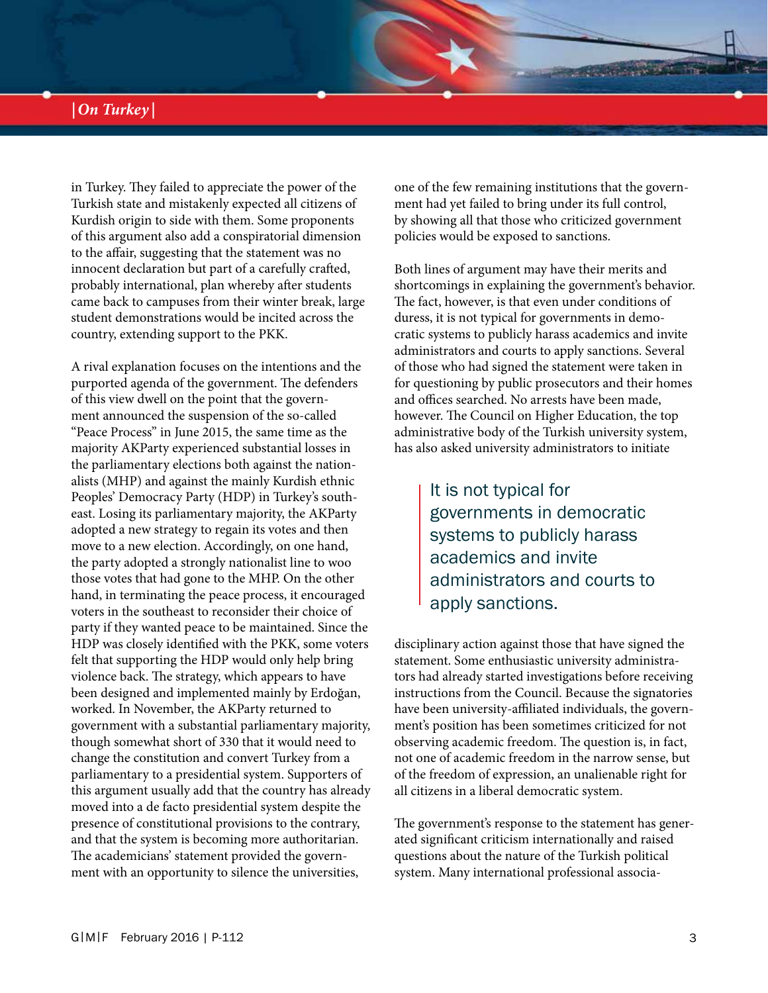# *|On Turkey |*

in Turkey. They failed to appreciate the power of the Turkish state and mistakenly expected all citizens of Kurdish origin to side with them. Some proponents of this argument also add a conspiratorial dimension to the affair, suggesting that the statement was no innocent declaration but part of a carefully crafted, probably international, plan whereby after students came back to campuses from their winter break, large student demonstrations would be incited across the country, extending support to the PKK.

A rival explanation focuses on the intentions and the purported agenda of the government. The defenders of this view dwell on the point that the government announced the suspension of the so-called "Peace Process" in June 2015, the same time as the majority AKParty experienced substantial losses in the parliamentary elections both against the nationalists (MHP) and against the mainly Kurdish ethnic Peoples' Democracy Party (HDP) in Turkey's southeast. Losing its parliamentary majority, the AKParty adopted a new strategy to regain its votes and then move to a new election. Accordingly, on one hand, the party adopted a strongly nationalist line to woo those votes that had gone to the MHP. On the other hand, in terminating the peace process, it encouraged voters in the southeast to reconsider their choice of party if they wanted peace to be maintained. Since the HDP was closely identified with the PKK, some voters felt that supporting the HDP would only help bring violence back. The strategy, which appears to have been designed and implemented mainly by Erdoğan, worked. In November, the AKParty returned to government with a substantial parliamentary majority, though somewhat short of 330 that it would need to change the constitution and convert Turkey from a parliamentary to a presidential system. Supporters of this argument usually add that the country has already moved into a de facto presidential system despite the presence of constitutional provisions to the contrary, and that the system is becoming more authoritarian. The academicians' statement provided the government with an opportunity to silence the universities,

one of the few remaining institutions that the government had yet failed to bring under its full control, by showing all that those who criticized government policies would be exposed to sanctions.

Both lines of argument may have their merits and shortcomings in explaining the government's behavior. The fact, however, is that even under conditions of duress, it is not typical for governments in democratic systems to publicly harass academics and invite administrators and courts to apply sanctions. Several of those who had signed the statement were taken in for questioning by public prosecutors and their homes and offices searched. No arrests have been made, however. The Council on Higher Education, the top administrative body of the Turkish university system, has also asked university administrators to initiate

> It is not typical for governments in democratic systems to publicly harass academics and invite administrators and courts to apply sanctions.

disciplinary action against those that have signed the statement. Some enthusiastic university administrators had already started investigations before receiving instructions from the Council. Because the signatories have been university-affiliated individuals, the government's position has been sometimes criticized for not observing academic freedom. The question is, in fact, not one of academic freedom in the narrow sense, but of the freedom of expression, an unalienable right for all citizens in a liberal democratic system.

The government's response to the statement has generated significant criticism internationally and raised questions about the nature of the Turkish political system. Many international professional associa-